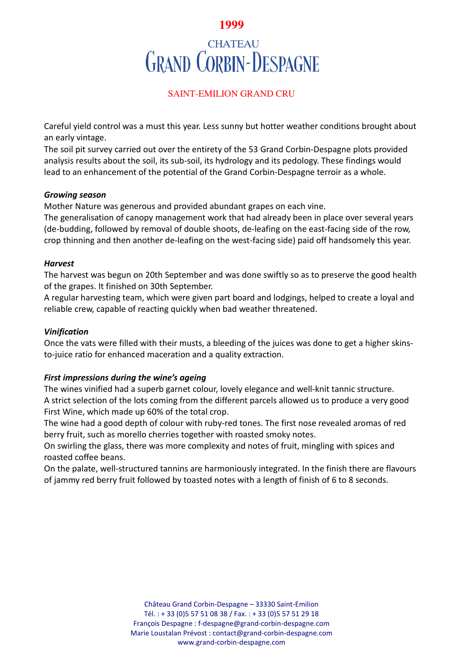## **1999**

# **CHATEAU GRAND CORBIN-DESPAGNE**

## SAINT-EMILION GRAND CRU

Careful yield control was a must this year. Less sunny but hotter weather conditions brought about an early vintage.

The soil pit survey carried out over the entirety of the 53 Grand Corbin-Despagne plots provided analysis results about the soil, its sub-soil, its hydrology and its pedology. These findings would lead to an enhancement of the potential of the Grand Corbin-Despagne terroir as a whole.

#### *Growing season*

Mother Nature was generous and provided abundant grapes on each vine.

The generalisation of canopy management work that had already been in place over several years (de-budding, followed by removal of double shoots, de-leafing on the east-facing side of the row, crop thinning and then another de-leafing on the west-facing side) paid off handsomely this year.

## *Harvest*

The harvest was begun on 20th September and was done swiftly so as to preserve the good health of the grapes. It finished on 30th September.

A regular harvesting team, which were given part board and lodgings, helped to create a loyal and reliable crew, capable of reacting quickly when bad weather threatened.

## *Vinification*

Once the vats were filled with their musts, a bleeding of the juices was done to get a higher skinsto-juice ratio for enhanced maceration and a quality extraction.

## *First impressions during the wine's ageing*

The wines vinified had a superb garnet colour, lovely elegance and well-knit tannic structure. A strict selection of the lots coming from the different parcels allowed us to produce a very good First Wine, which made up 60% of the total crop.

The wine had a good depth of colour with ruby-red tones. The first nose revealed aromas of red berry fruit, such as morello cherries together with roasted smoky notes.

On swirling the glass, there was more complexity and notes of fruit, mingling with spices and roasted coffee beans.

On the palate, well-structured tannins are harmoniously integrated. In the finish there are flavours of jammy red berry fruit followed by toasted notes with a length of finish of 6 to 8 seconds.